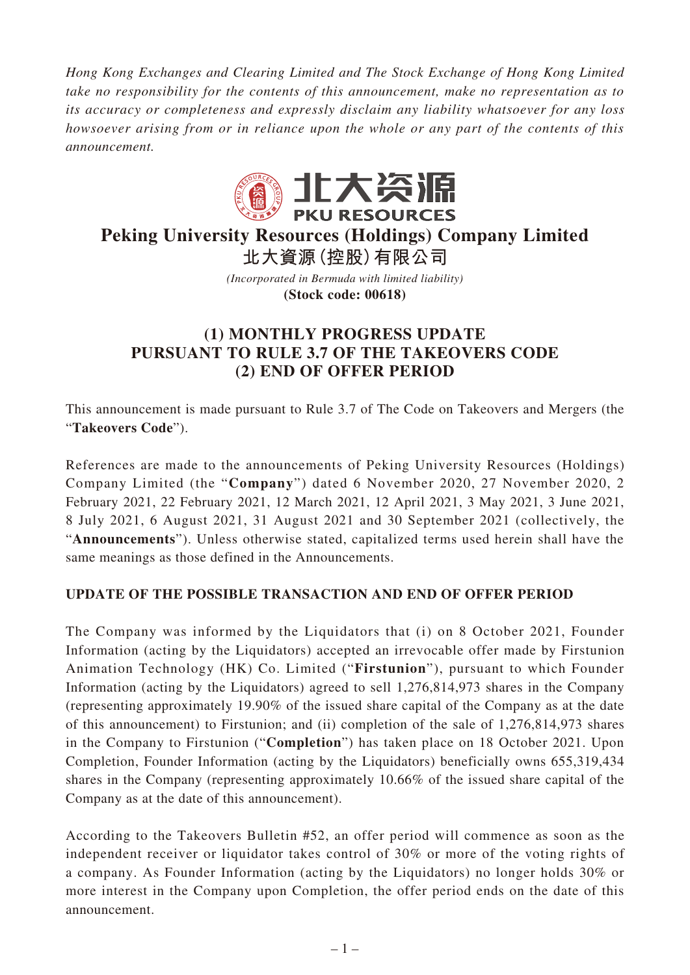*Hong Kong Exchanges and Clearing Limited and The Stock Exchange of Hong Kong Limited take no responsibility for the contents of this announcement, make no representation as to its accuracy or completeness and expressly disclaim any liability whatsoever for any loss howsoever arising from or in reliance upon the whole or any part of the contents of this announcement.*



## **Peking University Resources (Holdings) Company Limited 北大資源(控股)有限公司**

*(Incorporated in Bermuda with limited liability)*

**(Stock code: 00618)**

## **(1) MONTHLY PROGRESS UPDATE PURSUANT TO RULE 3.7 OF THE TAKEOVERS CODE (2) END OF OFFER PERIOD**

This announcement is made pursuant to Rule 3.7 of The Code on Takeovers and Mergers (the "**Takeovers Code**").

References are made to the announcements of Peking University Resources (Holdings) Company Limited (the "**Company**") dated 6 November 2020, 27 November 2020, 2 February 2021, 22 February 2021, 12 March 2021, 12 April 2021, 3 May 2021, 3 June 2021, 8 July 2021, 6 August 2021, 31 August 2021 and 30 September 2021 (collectively, the "**Announcements**"). Unless otherwise stated, capitalized terms used herein shall have the same meanings as those defined in the Announcements.

## **UPDATE OF THE POSSIBLE TRANSACTION AND END OF OFFER PERIOD**

The Company was informed by the Liquidators that (i) on 8 October 2021, Founder Information (acting by the Liquidators) accepted an irrevocable offer made by Firstunion Animation Technology (HK) Co. Limited ("**Firstunion**"), pursuant to which Founder Information (acting by the Liquidators) agreed to sell 1,276,814,973 shares in the Company (representing approximately 19.90% of the issued share capital of the Company as at the date of this announcement) to Firstunion; and (ii) completion of the sale of 1,276,814,973 shares in the Company to Firstunion ("**Completion**") has taken place on 18 October 2021. Upon Completion, Founder Information (acting by the Liquidators) beneficially owns 655,319,434 shares in the Company (representing approximately 10.66% of the issued share capital of the Company as at the date of this announcement).

According to the Takeovers Bulletin #52, an offer period will commence as soon as the independent receiver or liquidator takes control of 30% or more of the voting rights of a company. As Founder Information (acting by the Liquidators) no longer holds 30% or more interest in the Company upon Completion, the offer period ends on the date of this announcement.